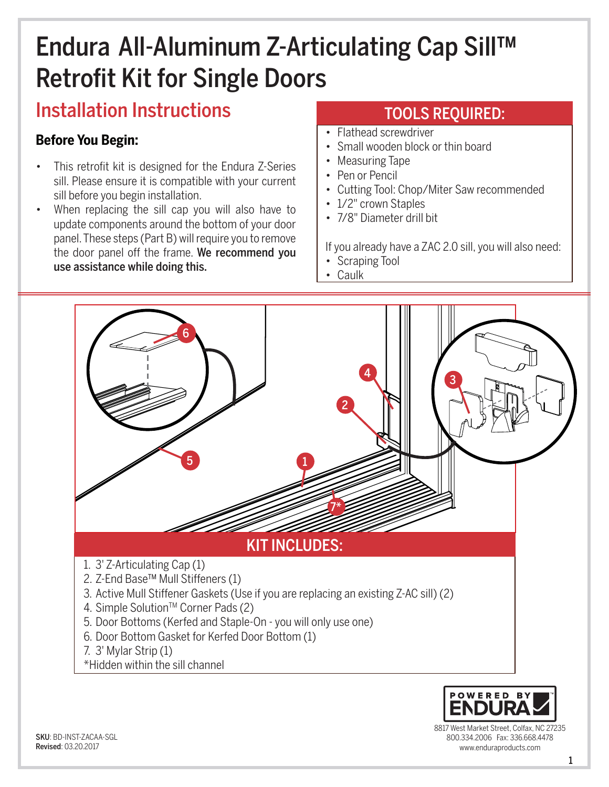# Endura All-Aluminum Z-Articulating Cap Sill™ Retrofit Kit for Single Doors

# Installation Instructions

### **Before You Begin:**

- This retrofit kit is designed for the Endura Z-Series sill. Please ensure it is compatible with your current sill before you begin installation.
- When replacing the sill cap you will also have to update components around the bottom of your door panel. These steps (Part B) will require you to remove the door panel off the frame. We recommend you use assistance while doing this.

### TOOLS REQUIRED:

- Flathead screwdriver
- Small wooden block or thin board
- Measuring Tape
- Pen or Pencil
- Cutting Tool: Chop/Miter Saw recommended
- 1/2" crown Staples
- 7/8" Diameter drill bit

If you already have a ZAC 2.0 sill, you will also need:

- Scraping Tool
- Caulk





8817 West Market Street, Colfax, NC 27235 800.334.2006 Fax: 336.668.4478 www.enduraproducts.com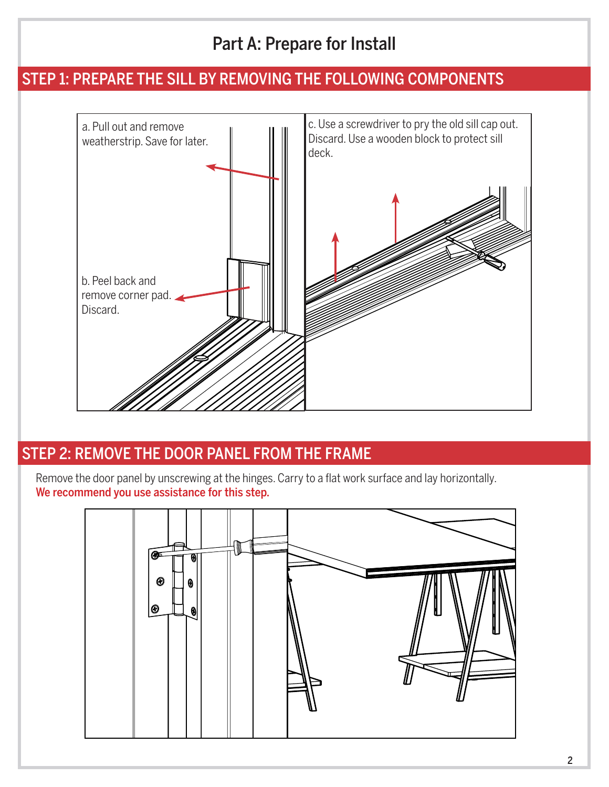# Part A: Prepare for Install

### STEP 1: PREPARE THE SILL BY REMOVING THE FOLLOWING COMPONENTS



## STEP 2: REMOVE THE DOOR PANEL FROM THE FRAME

Remove the door panel by unscrewing at the hinges. Carry to a flat work surface and lay horizontally. We recommend you use assistance for this step.

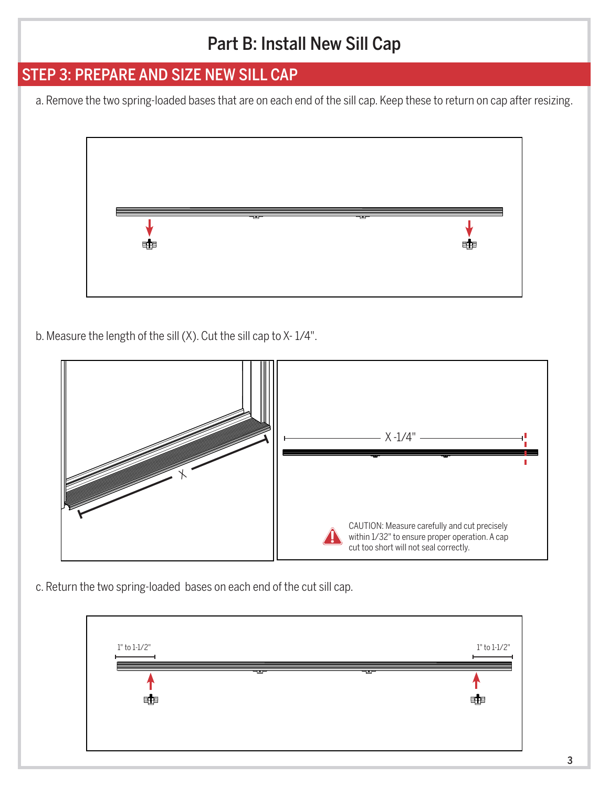# Part B: Install New Sill Cap

### STEP 3: PREPARE AND SIZE NEW SILL CAP

a. Remove the two spring-loaded bases that are on each end of the sill cap. Keep these to return on cap after resizing.



b. Measure the length of the sill (X). Cut the sill cap to X- 1/4".



c. Return the two spring-loaded bases on each end of the cut sill cap.

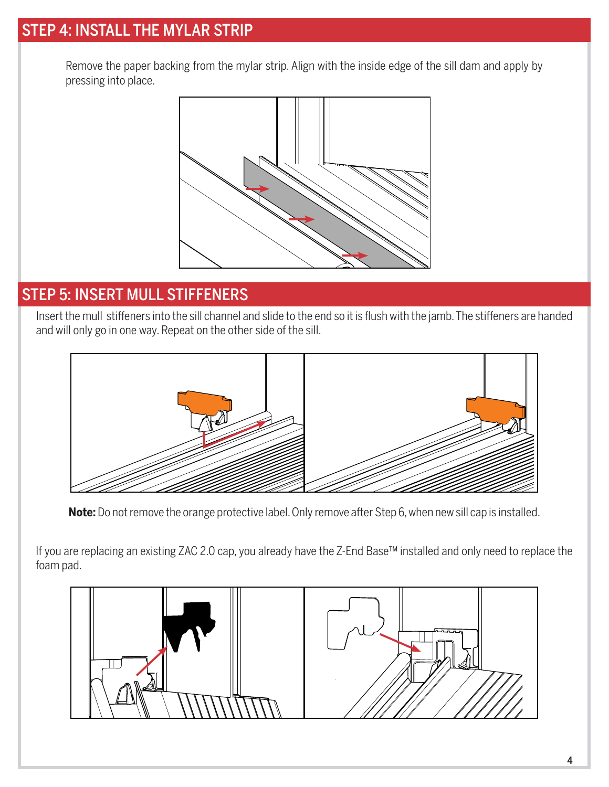## STEP 4: INSTALL THE MYLAR STRIP

Remove the paper backing from the mylar strip. Align with the inside edge of the sill dam and apply by pressing into place.



#### STEP 5: INSERT MULL STIFFENERS

Insert the mull stiffeners into the sill channel and slide to the end so it is flush with the jamb. The stiffeners are handed and will only go in one way. Repeat on the other side of the sill.



**Note:** Do not remove the orange protective label. Only remove after Step 6, when new sill cap is installed.

If you are replacing an existing ZAC 2.0 cap, you already have the Z-End Base™ installed and only need to replace the foam pad.

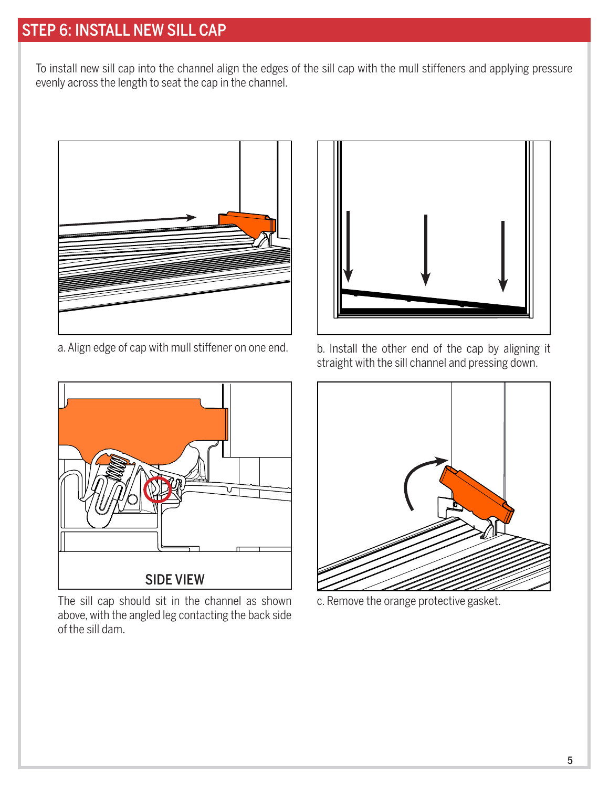# STEP 6: INSTALL NEW SILL CAP

To install new sill cap into the channel align the edges of the sill cap with the mull stiffeners and applying pressure evenly across the length to seat the cap in the channel.



a. Align edge of cap with mull stiffener on one end. b. Install the other end of the cap by aligning it



The sill cap should sit in the channel as shown c. Remove the orange protective gasket. above, with the angled leg contacting the back side of the sill dam.



straight with the sill channel and pressing down.

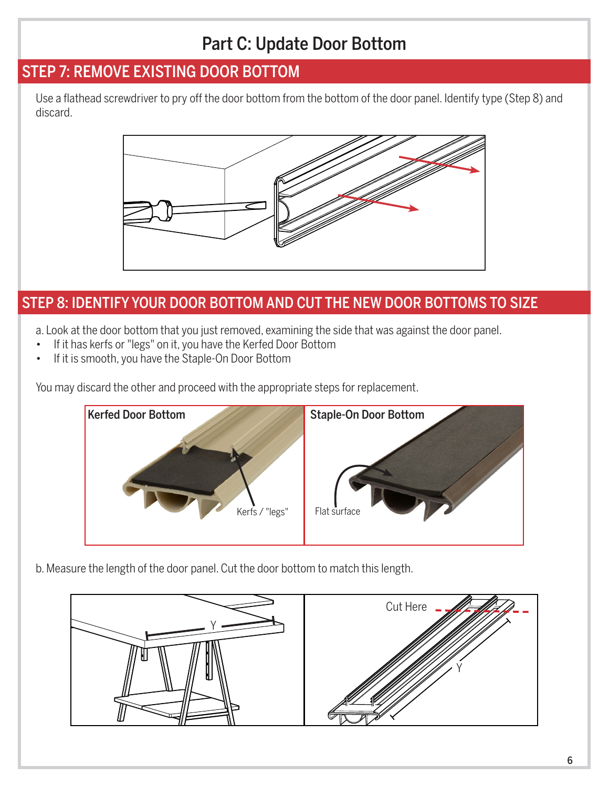# Part C: Update Door Bottom

### STEP 7: REMOVE EXISTING DOOR BOTTOM

Use a flathead screwdriver to pry off the door bottom from the bottom of the door panel. Identify type (Step 8) and discard.



#### STEP 8: IDENTIFY YOUR DOOR BOTTOM AND CUT THE NEW DOOR BOTTOMS TO SIZE

a. Look at the door bottom that you just removed, examining the side that was against the door panel.

- If it has kerfs or "legs" on it, you have the Kerfed Door Bottom
- If it is smooth, you have the Staple-On Door Bottom

You may discard the other and proceed with the appropriate steps for replacement.



b. Measure the length of the door panel. Cut the door bottom to match this length.

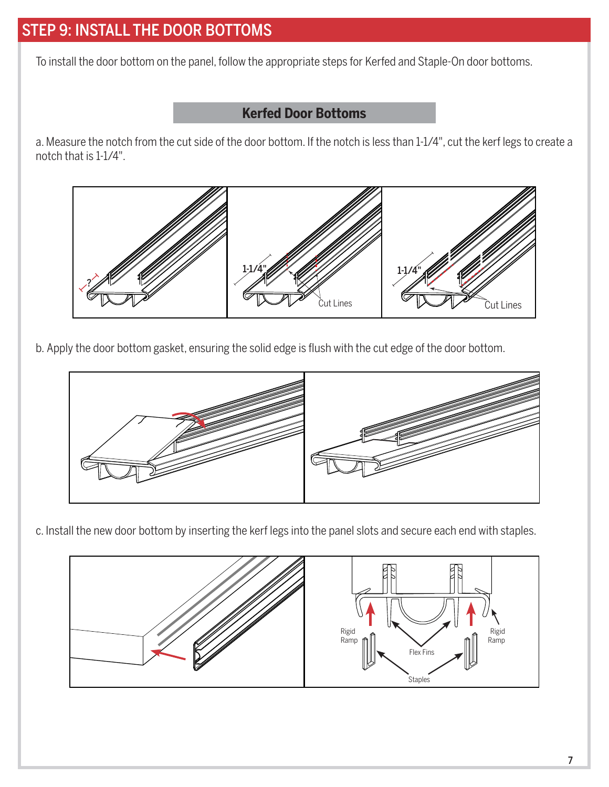# STEP 9: INSTALL THE DOOR BOTTOMS

To install the door bottom on the panel, follow the appropriate steps for Kerfed and Staple-On door bottoms.

#### **Kerfed Door Bottoms**

a. Measure the notch from the cut side of the door bottom. If the notch is less than 1-1/4", cut the kerf legs to create a notch that is 1-1/4".



b. Apply the door bottom gasket, ensuring the solid edge is flush with the cut edge of the door bottom.



c. Install the new door bottom by inserting the kerf legs into the panel slots and secure each end with staples.